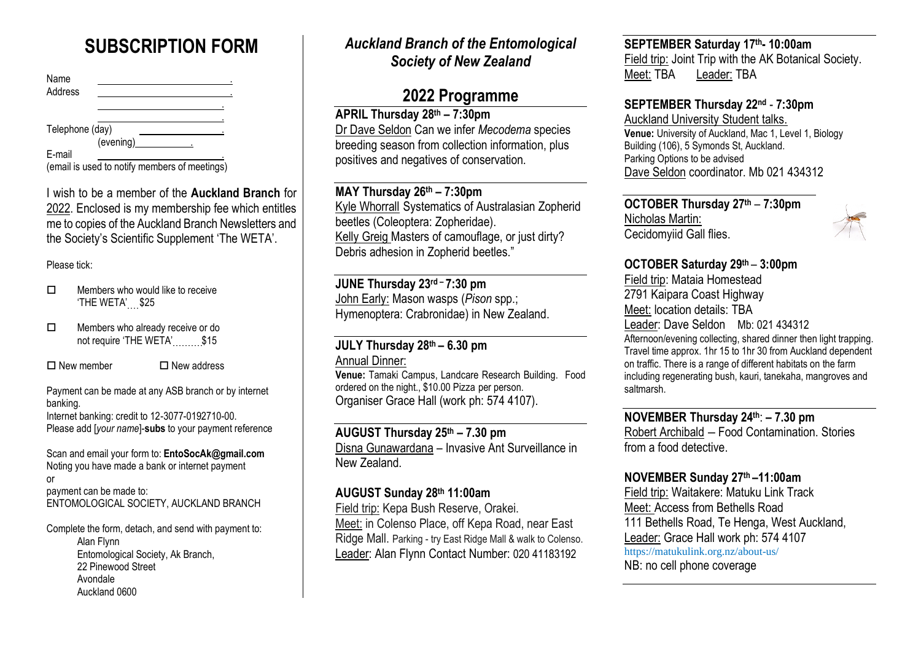# **SUBSCRIPTION FORM**

| Name<br>Address |                                               |  |
|-----------------|-----------------------------------------------|--|
|                 |                                               |  |
| Telephone (day) |                                               |  |
|                 | (evening)                                     |  |
| E-mail          |                                               |  |
|                 | (email is used to notify members of meetings) |  |

I wish to be a member of the **Auckland Branch** for 2022. Enclosed is my membership fee which entitles me to copies of the Auckland Branch Newsletters and the Society's Scientific Supplement 'The WETA'.

#### Please tick:

- $\Box$  Members who would like to receive 'THE WETA' \$25
- □ Members who already receive or do not require 'THE WETA' \$15

 $\Box$  New member  $\Box$  New address

Payment can be made at any ASB branch or by internet banking.

Internet banking: credit to 12-3077-0192710-00. Please add [*your name*]-**subs** to your payment reference

Scan and email your form to: **EntoSocAk@gmail.com** Noting you have made a bank or internet payment or payment can be made to: ENTOMOLOGICAL SOCIETY, AUCKLAND BRANCH

Complete the form, detach, and send with payment to: Alan Flynn Entomological Society, Ak Branch, 22 Pinewood Street Avondale Auckland 0600

## *Auckland Branch of the Entomological Society of New Zealand*

# **2022 Programme**

**APRIL Thursday 28th – 7:30pm** Dr Dave Seldon Can we infer *Mecodema* species breeding season from collection information, plus positives and negatives of conservation.

#### **MAY Thursday 26 th – 7:30pm**

Kyle Whorrall Systematics of Australasian Zopherid beetles (Coleoptera: Zopheridae). Kelly Greig Masters of camouflage, or just dirty? Debris adhesion in Zopherid beetles."

**JUNE Thursday 23 rd – 7:30 pm** John Early: Mason wasps (*Pison* spp.; Hymenoptera: Crabronidae) in New Zealand.

#### **JULY Thursday 28 th – 6.30 pm** Annual Dinner:

**Venue:** Tamaki Campus, Landcare Research Building. Food ordered on the night., \$10.00 Pizza per person. Organiser Grace Hall (work ph: 574 4107).

**AUGUST Thursday 25 th – 7.30 pm** Disna Gunawardana – Invasive Ant Surveillance in New Zealand.

### **AUGUST Sunday 28th 11:00am**

Field trip: Kepa Bush Reserve, Orakei. Meet: in Colenso Place, off Kepa Road, near East Ridge Mall. Parking - try East Ridge Mall & walk to Colenso. Leader: Alan Flynn Contact Number: 020 41183192

# **SEPTEMBER Saturday 17 th- 10:00am**

Field trip: Joint Trip with the AK Botanical Society. Meet: TBA Leader: TBA

### **SEPTEMBER Thursday 22 nd** - **7:30pm**

Auckland University Student talks. **Venue:** University of Auckland, Mac 1, Level 1, Biology Building (106), 5 Symonds St, Auckland. Parking Options to be advised Dave Seldon coordinator. Mb 021 434312

**OCTOBER Thursday 27 th** – **7:30pm** Nicholas Martin: Cecidomyiid Gall flies.



**OCTOBER Saturday 29th** – **3:00pm**

Field trip: Mataia Homestead 2791 Kaipara Coast Highway Meet: location details: TBA Leader: Dave Seldon Mb: 021 434312 Afternoon/evening collecting, shared dinner then light trapping. Travel time approx. 1hr 15 to 1hr 30 from Auckland dependent on traffic. There is a range of different habitats on the farm including regenerating bush, kauri, tanekaha, mangroves and saltmarsh.

**NOVEMBER Thursday 24 th**: **– 7.30 pm** Robert Archibald – Food Contamination. Stories from a food detective.

### **NOVEMBER Sunday 27 th –11:00am**

Field trip: Waitakere: Matuku Link Track Meet: Access from Bethells Road 111 Bethells Road, Te Henga, West Auckland, Leader: Grace Hall work ph: 574 4107 <https://matukulink.org.nz/about-us/> NB: no cell phone coverage